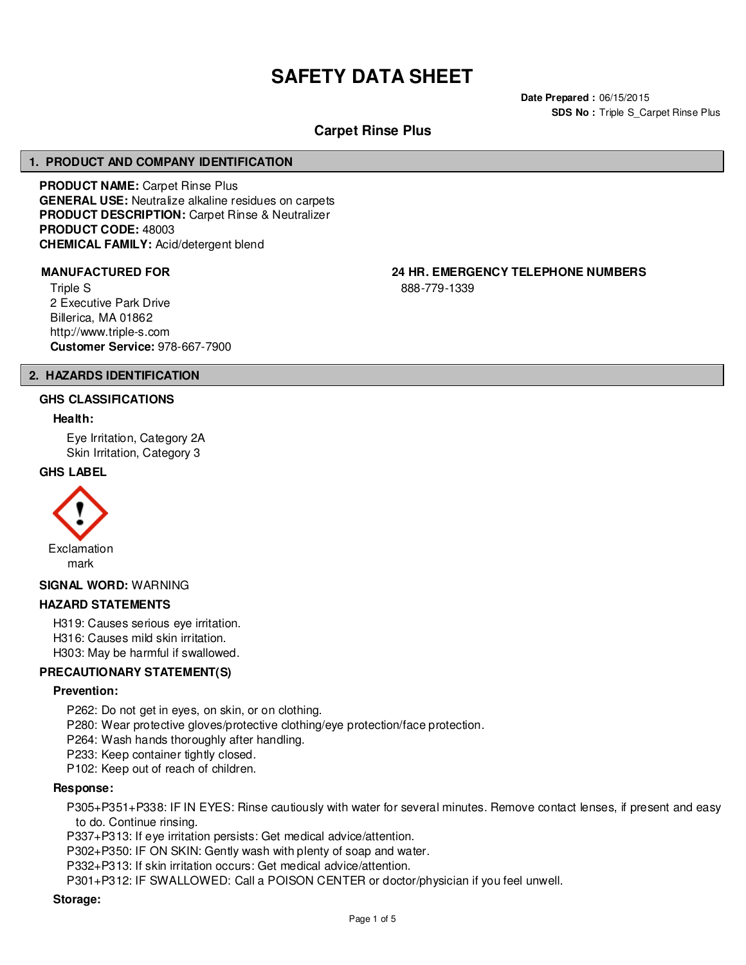# **SAFETY DATA SHEET**

**Date Prepared :** 06/15/2015 **SDS No : Triple S\_Carpet Rinse Plus** 

# **Carpet Rinse Plus**

# **1. PRODUCT AND COMPANY IDENTIFICATION**

**PRODUCT NAME:** Carpet Rinse Plus **GENERAL USE:** Neutralize alkaline residues on carpets **PRODUCT DESCRIPTION:** Carpet Rinse & Neutralizer **PRODUCT CODE:** 48003 **CHEMICAL FAMILY:** Acid/detergent blend

Triple S 2 Executive Park Drive Billerica, MA 01862 http://www.triple-s.com **Customer Service:** 978-667-7900

**MANUFACTURED FOR 24 HR. EMERGENCY TELEPHONE NUMBERS**

888-779-1339

# **2. HAZARDS IDENTIFICATION**

#### **GHS CLASSIFICATIONS**

#### **Health:**

Eye Irritation, Category 2A Skin Irritation, Category 3

#### **GHS LABEL**



#### **SIGNAL WORD:** WARNING

#### **HAZARD STATEMENTS**

H319: Causes serious eye irritation. H316: Causes mild skin irritation. H303: May be harmful if swallowed.

#### **PRECAUTIONARY STATEMENT(S)**

#### **Prevention:**

- P262: Do not get in eyes, on skin, or on clothing.
- P280: Wear protective gloves/protective clothing/eye protection/face protection.
- P264: Wash hands thoroughly after handling.
- P233: Keep container tightly closed.
- P102: Keep out of reach of children.

#### **Response:**

P305+P351+P338: IF IN EYES: Rinse cautiously with water for several minutes. Remove contact lenses, if present and easy to do. Continue rinsing.

P337+P313: If eye irritation persists: Get medical advice/attention.

P302+P350: IF ON SKIN: Gently wash with plenty of soap and water.

P332+P313: If skin irritation occurs: Get medical advice/attention.

P301+P312: IF SWALLOWED: Call a POISON CENTER or doctor/physician if you feel unwell.

#### **Storage:**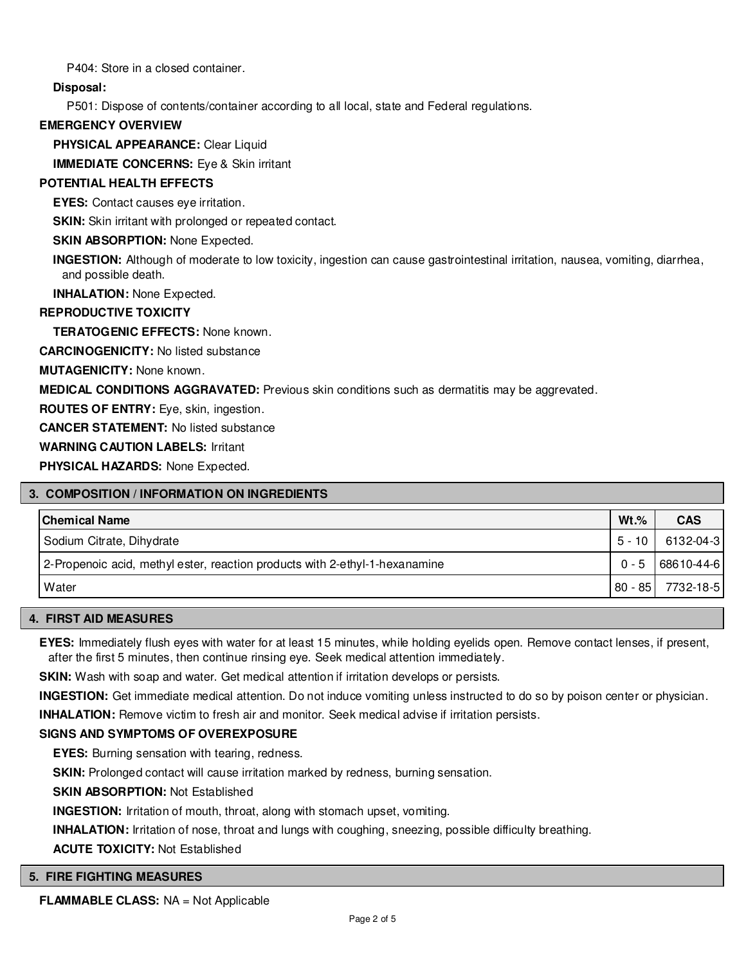P404: Store in a closed container.

**Disposal:**

P501: Dispose of contents/container according to all local, state and Federal regulations.

# **EMERGENCY OVERVIEW**

**PHYSICAL APPEARANCE:** Clear Liquid

**IMMEDIATE CONCERNS:** Eye & Skin irritant

# **POTENTIAL HEALTH EFFECTS**

**EYES:** Contact causes eye irritation.

**SKIN:** Skin irritant with prolonged or repeated contact.

## **SKIN ABSORPTION: None Expected.**

**INGESTION:** Although of moderate to low toxicity, ingestion can cause gastrointestinal irritation, nausea, vomiting, diarrhea, and possible death.

**INHALATION:** None Expected.

## **REPRODUCTIVE TOXICITY**

**TERATOGENIC EFFECTS:** None known.

**CARCINOGENICITY:** No listed substance

**MUTAGENICITY:** None known.

**MEDICAL CONDITIONS AGGRAVATED:** Previous skin conditions such as dermatitis may be aggrevated.

**ROUTES OF ENTRY:** Eye, skin, ingestion.

**CANCER STATEMENT:** No listed substance

## **WARNING CAUTION LABELS:** Irritant

**PHYSICAL HAZARDS:** None Expected.

# **3. COMPOSITION / INFORMATION ON INGREDIENTS**

| <b>Chemical Name</b>                                                        | $Wt.$ %   | <b>CAS</b> |
|-----------------------------------------------------------------------------|-----------|------------|
| Sodium Citrate, Dihydrate                                                   | $5 - 10$  | 6132-04-3  |
| 2-Propenoic acid, methyl ester, reaction products with 2-ethyl-1-hexanamine | $0 - 5$   | 68610-44-6 |
| Water                                                                       | $80 - 85$ | 7732-18-5  |

#### **4. FIRST AID MEASURES**

**EYES:** Immediately flush eyes with water for at least 15 minutes, while holding eyelids open. Remove contact lenses, if present, after the first 5 minutes, then continue rinsing eye. Seek medical attention immediately.

**SKIN:** Wash with soap and water. Get medical attention if irritation develops or persists.

**INGESTION:** Get immediate medical attention. Do not induce vomiting unless instructed to do so by poison center or physician.

**INHALATION:** Remove victim to fresh air and monitor. Seek medical advise if irritation persists.

#### **SIGNS AND SYMPTOMS OF OVEREXPOSURE**

**EYES:** Burning sensation with tearing, redness.

**SKIN:** Prolonged contact will cause irritation marked by redness, burning sensation.

**SKIN ABSORPTION:** Not Established

**INGESTION:** Irritation of mouth, throat, along with stomach upset, vomiting.

**INHALATION:** Irritation of nose, throat and lungs with coughing, sneezing, possible difficulty breathing.

**ACUTE TOXICITY:** Not Established

#### **5. FIRE FIGHTING MEASURES**

**FLAMMABLE CLASS:** NA = Not Applicable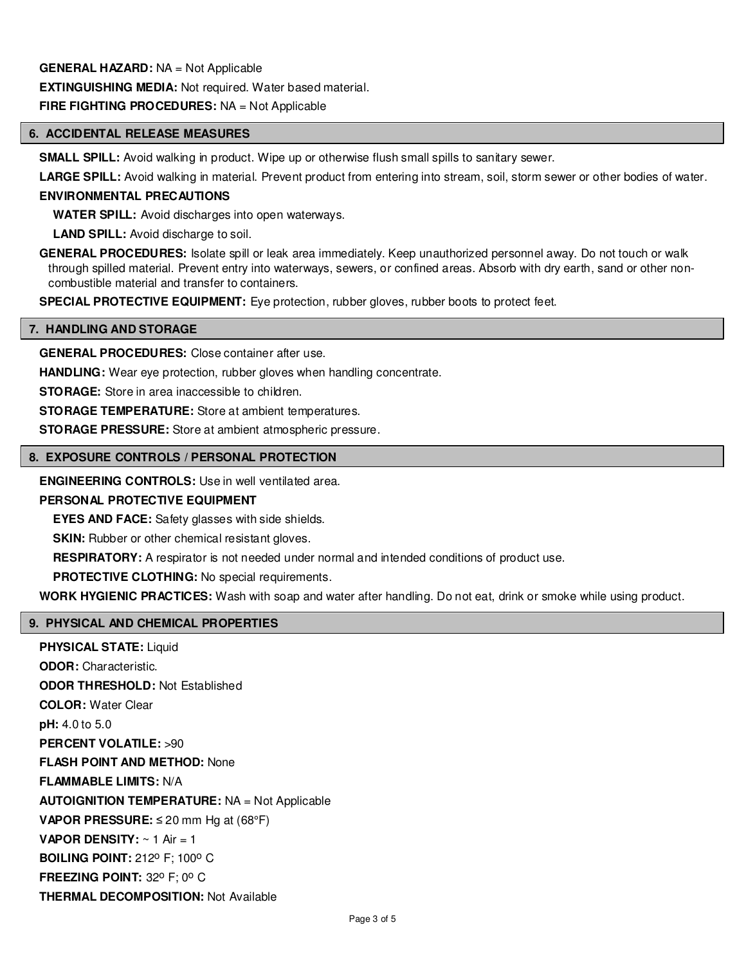### **GENERAL HAZARD:** NA = Not Applicable

**EXTINGUISHING MEDIA:** Not required. Water based material.

### **FIRE FIGHTING PROCEDURES:** NA = Not Applicable

# **6. ACCIDENTAL RELEASE MEASURES**

**SMALL SPILL:** Avoid walking in product. Wipe up or otherwise flush small spills to sanitary sewer.

**LARGE SPILL:** Avoid walking in material. Prevent product from entering into stream, soil, storm sewer or other bodies of water.

#### **ENVIRONMENTAL PRECAUTIONS**

**WATER SPILL:** Avoid discharges into open waterways.

**LAND SPILL:** Avoid discharge to soil.

**GENERAL PROCEDURES:** Isolate spill or leak area immediately. Keep unauthorized personnel away. Do not touch or walk through spilled material. Prevent entry into waterways, sewers, or confined areas. Absorb with dry earth, sand or other noncombustible material and transfer to containers.

**SPECIAL PROTECTIVE EQUIPMENT:** Eye protection, rubber gloves, rubber boots to protect feet.

#### **7. HANDLING AND STORAGE**

**GENERAL PROCEDURES:** Close container after use.

**HANDLING:** Wear eye protection, rubber gloves when handling concentrate.

**STORAGE:** Store in area inaccessible to children.

**STORAGE TEMPERATURE:** Store at ambient temperatures.

**STORAGE PRESSURE:** Store at ambient atmospheric pressure.

#### **8. EXPOSURE CONTROLS / PERSONAL PROTECTION**

**ENGINEERING CONTROLS:** Use in well ventilated area.

# **PERSONAL PROTECTIVE EQUIPMENT**

**EYES AND FACE:** Safety glasses with side shields.

**SKIN:** Rubber or other chemical resistant gloves.

**RESPIRATORY:** A respirator is not needed under normal and intended conditions of product use.

**PROTECTIVE CLOTHING:** No special requirements.

**WORK HYGIENIC PRACTICES:** Wash with soap and water after handling. Do not eat, drink or smoke while using product.

#### **9. PHYSICAL AND CHEMICAL PROPERTIES**

**PHYSICAL STATE:** Liquid **ODOR:** Characteristic. **ODOR THRESHOLD:** Not Established **COLOR:** Water Clear **pH:** 4.0 to 5.0 **PERCENT VOLATILE:** >90 **FLASH POINT AND METHOD:** None **FLAMMABLE LIMITS:** N/A **AUTOIGNITION TEMPERATURE:** NA = Not Applicable **VAPOR PRESSURE:** ≤ 20 mm Hg at (68°F) **VAPOR DENSITY:** ~ 1 Air = 1 **BOILING POINT: 212° F; 100° C FREEZING POINT: 32° F; 0° C THERMAL DECOMPOSITION:** Not Available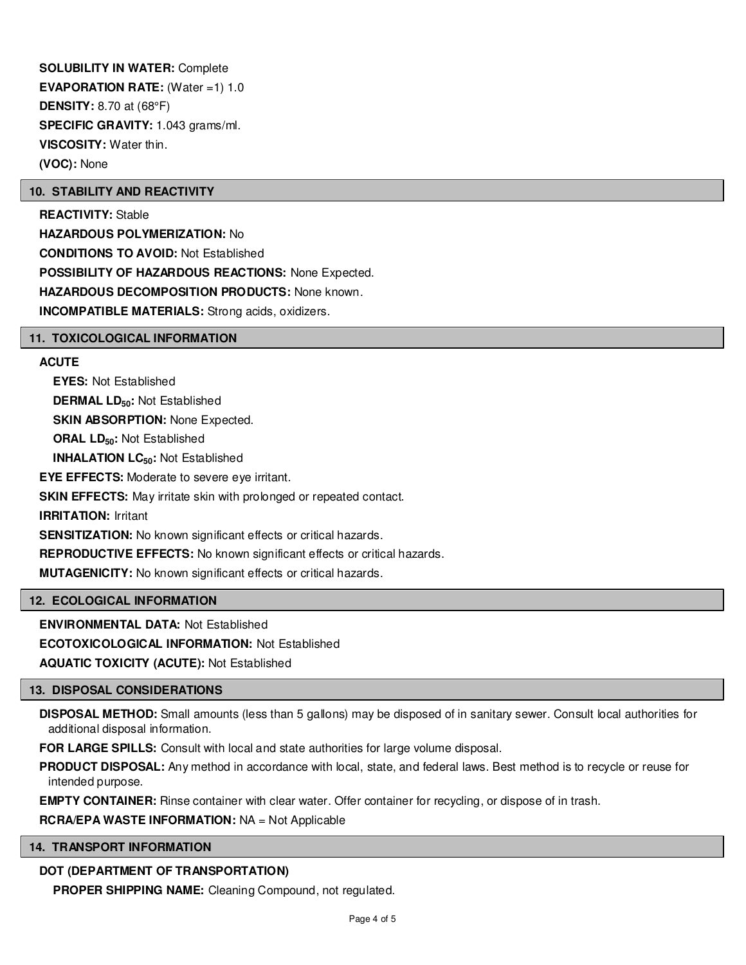**SOLUBILITY IN WATER:** Complete **EVAPORATION RATE:** (Water =1) 1.0 **DENSITY:** 8.70 at (68°F) **SPECIFIC GRAVITY:** 1.043 grams/ml. **VISCOSITY:** Water thin. **(VOC):** None

#### **10. STABILITY AND REACTIVITY**

**REACTIVITY:** Stable **HAZARDOUS POLYMERIZATION:** No **CONDITIONS TO AVOID:** Not Established **POSSIBILITY OF HAZARDOUS REACTIONS:** None Expected. **HAZARDOUS DECOMPOSITION PRODUCTS:** None known. **INCOMPATIBLE MATERIALS:** Strong acids, oxidizers.

#### **11. TOXICOLOGICAL INFORMATION**

#### **ACUTE**

**EYES:** Not Established **DERMAL LD50:** Not Established **SKIN ABSORPTION: None Expected. ORAL LD50:** Not Established **INHALATION LC50:** Not Established **EYE EFFECTS:** Moderate to severe eye irritant. **SKIN EFFECTS:** May irritate skin with prolonged or repeated contact. **IRRITATION:** Irritant **SENSITIZATION:** No known significant effects or critical hazards. **REPRODUCTIVE EFFECTS:** No known significant effects or critical hazards. **MUTAGENICITY:** No known significant effects or critical hazards.

#### **12. ECOLOGICAL INFORMATION**

**ENVIRONMENTAL DATA:** Not Established **ECOTOXICOLOGICAL INFORMATION:** Not Established

**AQUATIC TOXICITY (ACUTE):** Not Established

# **13. DISPOSAL CONSIDERATIONS**

**DISPOSAL METHOD:** Small amounts (less than 5 gallons) may be disposed of in sanitary sewer. Consult local authorities for additional disposal information.

**FOR LARGE SPILLS:** Consult with local and state authorities for large volume disposal.

**PRODUCT DISPOSAL:** Any method in accordance with local, state, and federal laws. Best method is to recycle or reuse for intended purpose.

**EMPTY CONTAINER:** Rinse container with clear water. Offer container for recycling, or dispose of in trash.

#### **RCRA/EPA WASTE INFORMATION:** NA = Not Applicable

# **14. TRANSPORT INFORMATION**

# **DOT (DEPARTMENT OF TRANSPORTATION)**

**PROPER SHIPPING NAME:** Cleaning Compound, not regulated.